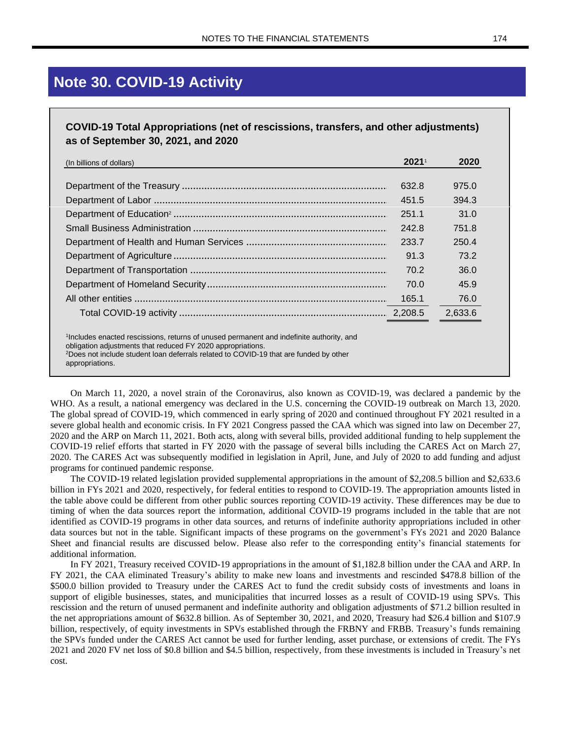## **Note 30. COVID-19 Activity**

## **COVID-19 Total Appropriations (net of rescissions, transfers, and other adjustments) as of September 30, 2021, and 2020**

| (In billions of dollars)                                                                                                                                                            | $2021^{\circ}$ | 2020    |
|-------------------------------------------------------------------------------------------------------------------------------------------------------------------------------------|----------------|---------|
|                                                                                                                                                                                     |                |         |
|                                                                                                                                                                                     | 632.8          | 975.0   |
|                                                                                                                                                                                     | 451.5          | 394.3   |
|                                                                                                                                                                                     | 251.1          | 31.0    |
|                                                                                                                                                                                     | 242.8          | 751.8   |
|                                                                                                                                                                                     | 233.7          | 250.4   |
|                                                                                                                                                                                     | 91.3           | 73.2    |
|                                                                                                                                                                                     | 70.2           | 36.0    |
|                                                                                                                                                                                     | 70.0           | 45.9    |
|                                                                                                                                                                                     | 165.1          | 76.0    |
|                                                                                                                                                                                     |                | 2,633.6 |
| <sup>1</sup> Includes enacted rescissions, returns of unused permanent and indefinite authority, and                                                                                |                |         |
| obligation adjustments that reduced FY 2020 appropriations.<br><sup>2</sup> Does not include student loan deferrals related to COVID-19 that are funded by other<br>appropriations. |                |         |

On March 11, 2020, a novel strain of the Coronavirus, also known as COVID-19, was declared a pandemic by the WHO. As a result, a national emergency was declared in the U.S. concerning the COVID-19 outbreak on March 13, 2020. The global spread of COVID-19, which commenced in early spring of 2020 and continued throughout FY 2021 resulted in a severe global health and economic crisis. In FY 2021 Congress passed the CAA which was signed into law on December 27, 2020 and the ARP on March 11, 2021. Both acts, along with several bills, provided additional funding to help supplement the COVID-19 relief efforts that started in FY 2020 with the passage of several bills including the CARES Act on March 27, 2020. The CARES Act was subsequently modified in legislation in April, June, and July of 2020 to add funding and adjust programs for continued pandemic response.

The COVID-19 related legislation provided supplemental appropriations in the amount of \$2,208.5 billion and \$2,633.6 billion in FYs 2021 and 2020, respectively, for federal entities to respond to COVID-19. The appropriation amounts listed in the table above could be different from other public sources reporting COVID-19 activity. These differences may be due to timing of when the data sources report the information, additional COVID-19 programs included in the table that are not identified as COVID-19 programs in other data sources, and returns of indefinite authority appropriations included in other data sources but not in the table. Significant impacts of these programs on the government's FYs 2021 and 2020 Balance Sheet and financial results are discussed below. Please also refer to the corresponding entity's financial statements for additional information.

In FY 2021, Treasury received COVID-19 appropriations in the amount of \$1,182.8 billion under the CAA and ARP. In FY 2021, the CAA eliminated Treasury's ability to make new loans and investments and rescinded \$478.8 billion of the \$500.0 billion provided to Treasury under the CARES Act to fund the credit subsidy costs of investments and loans in support of eligible businesses, states, and municipalities that incurred losses as a result of COVID-19 using SPVs. This rescission and the return of unused permanent and indefinite authority and obligation adjustments of \$71.2 billion resulted in the net appropriations amount of \$632.8 billion. As of September 30, 2021, and 2020, Treasury had \$26.4 billion and \$107.9 billion, respectively, of equity investments in SPVs established through the FRBNY and FRBB. Treasury's funds remaining the SPVs funded under the CARES Act cannot be used for further lending, asset purchase, or extensions of credit. The FYs 2021 and 2020 FV net loss of \$0.8 billion and \$4.5 billion, respectively, from these investments is included in Treasury's net cost.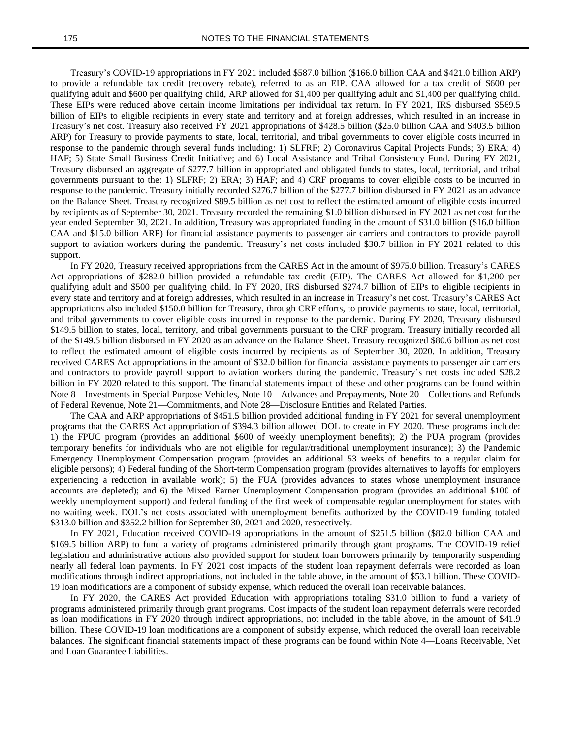Treasury's COVID-19 appropriations in FY 2021 included \$587.0 billion (\$166.0 billion CAA and \$421.0 billion ARP) to provide a refundable tax credit (recovery rebate), referred to as an EIP. CAA allowed for a tax credit of \$600 per qualifying adult and \$600 per qualifying child, ARP allowed for \$1,400 per qualifying adult and \$1,400 per qualifying child. These EIPs were reduced above certain income limitations per individual tax return. In FY 2021, IRS disbursed \$569.5 billion of EIPs to eligible recipients in every state and territory and at foreign addresses, which resulted in an increase in Treasury's net cost. Treasury also received FY 2021 appropriations of \$428.5 billion (\$25.0 billion CAA and \$403.5 billion ARP) for Treasury to provide payments to state, local, territorial, and tribal governments to cover eligible costs incurred in response to the pandemic through several funds including: 1) SLFRF; 2) Coronavirus Capital Projects Funds; 3) ERA; 4) HAF; 5) State Small Business Credit Initiative; and 6) Local Assistance and Tribal Consistency Fund. During FY 2021, Treasury disbursed an aggregate of \$277.7 billion in appropriated and obligated funds to states, local, territorial, and tribal governments pursuant to the: 1) SLFRF; 2) ERA; 3) HAF; and 4) CRF programs to cover eligible costs to be incurred in response to the pandemic. Treasury initially recorded \$276.7 billion of the \$277.7 billion disbursed in FY 2021 as an advance on the Balance Sheet. Treasury recognized \$89.5 billion as net cost to reflect the estimated amount of eligible costs incurred by recipients as of September 30, 2021. Treasury recorded the remaining \$1.0 billion disbursed in FY 2021 as net cost for the year ended September 30, 2021. In addition, Treasury was appropriated funding in the amount of \$31.0 billion (\$16.0 billion CAA and \$15.0 billion ARP) for financial assistance payments to passenger air carriers and contractors to provide payroll support to aviation workers during the pandemic. Treasury's net costs included \$30.7 billion in FY 2021 related to this support.

In FY 2020, Treasury received appropriations from the CARES Act in the amount of \$975.0 billion. Treasury's CARES Act appropriations of \$282.0 billion provided a refundable tax credit (EIP). The CARES Act allowed for \$1,200 per qualifying adult and \$500 per qualifying child. In FY 2020, IRS disbursed \$274.7 billion of EIPs to eligible recipients in every state and territory and at foreign addresses, which resulted in an increase in Treasury's net cost. Treasury's CARES Act appropriations also included \$150.0 billion for Treasury, through CRF efforts, to provide payments to state, local, territorial, and tribal governments to cover eligible costs incurred in response to the pandemic. During FY 2020, Treasury disbursed \$149.5 billion to states, local, territory, and tribal governments pursuant to the CRF program. Treasury initially recorded all of the \$149.5 billion disbursed in FY 2020 as an advance on the Balance Sheet. Treasury recognized \$80.6 billion as net cost to reflect the estimated amount of eligible costs incurred by recipients as of September 30, 2020. In addition, Treasury received CARES Act appropriations in the amount of \$32.0 billion for financial assistance payments to passenger air carriers and contractors to provide payroll support to aviation workers during the pandemic. Treasury's net costs included \$28.2 billion in FY 2020 related to this support. The financial statements impact of these and other programs can be found within Note 8—Investments in Special Purpose Vehicles, Note 10—Advances and Prepayments, Note 20—Collections and Refunds of Federal Revenue, Note 21—Commitments, and Note 28—Disclosure Entities and Related Parties.

The CAA and ARP appropriations of \$451.5 billion provided additional funding in FY 2021 for several unemployment programs that the CARES Act appropriation of \$394.3 billion allowed DOL to create in FY 2020. These programs include: 1) the FPUC program (provides an additional \$600 of weekly unemployment benefits); 2) the PUA program (provides temporary benefits for individuals who are not eligible for regular/traditional unemployment insurance); 3) the Pandemic Emergency Unemployment Compensation program (provides an additional 53 weeks of benefits to a regular claim for eligible persons); 4) Federal funding of the Short-term Compensation program (provides alternatives to layoffs for employers experiencing a reduction in available work); 5) the FUA (provides advances to states whose unemployment insurance accounts are depleted); and 6) the Mixed Earner Unemployment Compensation program (provides an additional \$100 of weekly unemployment support) and federal funding of the first week of compensable regular unemployment for states with no waiting week. DOL's net costs associated with unemployment benefits authorized by the COVID-19 funding totaled \$313.0 billion and \$352.2 billion for September 30, 2021 and 2020, respectively.

In FY 2021, Education received COVID-19 appropriations in the amount of \$251.5 billion (\$82.0 billion CAA and \$169.5 billion ARP) to fund a variety of programs administered primarily through grant programs. The COVID-19 relief legislation and administrative actions also provided support for student loan borrowers primarily by temporarily suspending nearly all federal loan payments. In FY 2021 cost impacts of the student loan repayment deferrals were recorded as loan modifications through indirect appropriations, not included in the table above, in the amount of \$53.1 billion. These COVID-19 loan modifications are a component of subsidy expense, which reduced the overall loan receivable balances.

In FY 2020, the CARES Act provided Education with appropriations totaling \$31.0 billion to fund a variety of programs administered primarily through grant programs. Cost impacts of the student loan repayment deferrals were recorded as loan modifications in FY 2020 through indirect appropriations, not included in the table above, in the amount of \$41.9 billion. These COVID-19 loan modifications are a component of subsidy expense, which reduced the overall loan receivable balances. The significant financial statements impact of these programs can be found within Note 4—Loans Receivable, Net and Loan Guarantee Liabilities.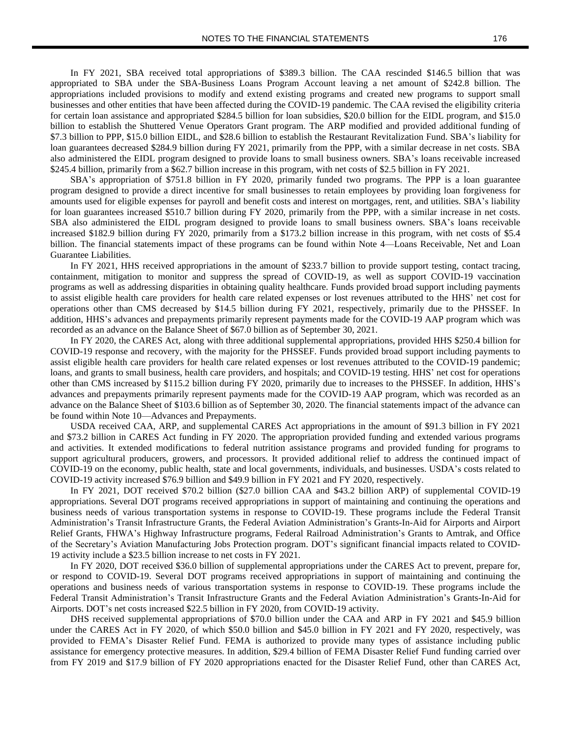In FY 2021, SBA received total appropriations of \$389.3 billion. The CAA rescinded \$146.5 billion that was appropriated to SBA under the SBA-Business Loans Program Account leaving a net amount of \$242.8 billion. The appropriations included provisions to modify and extend existing programs and created new programs to support small businesses and other entities that have been affected during the COVID-19 pandemic. The CAA revised the eligibility criteria for certain loan assistance and appropriated \$284.5 billion for loan subsidies, \$20.0 billion for the EIDL program, and \$15.0 billion to establish the Shuttered Venue Operators Grant program. The ARP modified and provided additional funding of \$7.3 billion to PPP, \$15.0 billion EIDL, and \$28.6 billion to establish the Restaurant Revitalization Fund. SBA's liability for loan guarantees decreased \$284.9 billion during FY 2021, primarily from the PPP, with a similar decrease in net costs. SBA also administered the EIDL program designed to provide loans to small business owners. SBA's loans receivable increased \$245.4 billion, primarily from a \$62.7 billion increase in this program, with net costs of \$2.5 billion in FY 2021.

SBA's appropriation of \$751.8 billion in FY 2020, primarily funded two programs. The PPP is a loan guarantee program designed to provide a direct incentive for small businesses to retain employees by providing loan forgiveness for amounts used for eligible expenses for payroll and benefit costs and interest on mortgages, rent, and utilities. SBA's liability for loan guarantees increased \$510.7 billion during FY 2020, primarily from the PPP, with a similar increase in net costs. SBA also administered the EIDL program designed to provide loans to small business owners. SBA's loans receivable increased \$182.9 billion during FY 2020, primarily from a \$173.2 billion increase in this program, with net costs of \$5.4 billion. The financial statements impact of these programs can be found within Note 4—Loans Receivable, Net and Loan Guarantee Liabilities.

In FY 2021, HHS received appropriations in the amount of \$233.7 billion to provide support testing, contact tracing, containment, mitigation to monitor and suppress the spread of COVID-19, as well as support COVID-19 vaccination programs as well as addressing disparities in obtaining quality healthcare. Funds provided broad support including payments to assist eligible health care providers for health care related expenses or lost revenues attributed to the HHS' net cost for operations other than CMS decreased by \$14.5 billion during FY 2021, respectively, primarily due to the PHSSEF. In addition, HHS's advances and prepayments primarily represent payments made for the COVID-19 AAP program which was recorded as an advance on the Balance Sheet of \$67.0 billion as of September 30, 2021.

In FY 2020, the CARES Act, along with three additional supplemental appropriations, provided HHS \$250.4 billion for COVID-19 response and recovery, with the majority for the PHSSEF. Funds provided broad support including payments to assist eligible health care providers for health care related expenses or lost revenues attributed to the COVID-19 pandemic; loans, and grants to small business, health care providers, and hospitals; and COVID-19 testing. HHS' net cost for operations other than CMS increased by \$115.2 billion during FY 2020, primarily due to increases to the PHSSEF. In addition, HHS's advances and prepayments primarily represent payments made for the COVID-19 AAP program, which was recorded as an advance on the Balance Sheet of \$103.6 billion as of September 30, 2020. The financial statements impact of the advance can be found within Note 10—Advances and Prepayments.

USDA received CAA, ARP, and supplemental CARES Act appropriations in the amount of \$91.3 billion in FY 2021 and \$73.2 billion in CARES Act funding in FY 2020. The appropriation provided funding and extended various programs and activities. It extended modifications to federal nutrition assistance programs and provided funding for programs to support agricultural producers, growers, and processors. It provided additional relief to address the continued impact of COVID-19 on the economy, public health, state and local governments, individuals, and businesses. USDA's costs related to COVID-19 activity increased \$76.9 billion and \$49.9 billion in FY 2021 and FY 2020, respectively.

In FY 2021, DOT received \$70.2 billion (\$27.0 billion CAA and \$43.2 billion ARP) of supplemental COVID-19 appropriations. Several DOT programs received appropriations in support of maintaining and continuing the operations and business needs of various transportation systems in response to COVID-19. These programs include the Federal Transit Administration's Transit Infrastructure Grants, the Federal Aviation Administration's Grants-In-Aid for Airports and Airport Relief Grants, FHWA's Highway Infrastructure programs, Federal Railroad Administration's Grants to Amtrak, and Office of the Secretary's Aviation Manufacturing Jobs Protection program. DOT's significant financial impacts related to COVID-19 activity include a \$23.5 billion increase to net costs in FY 2021.

In FY 2020, DOT received \$36.0 billion of supplemental appropriations under the CARES Act to prevent, prepare for, or respond to COVID-19. Several DOT programs received appropriations in support of maintaining and continuing the operations and business needs of various transportation systems in response to COVID-19. These programs include the Federal Transit Administration's Transit Infrastructure Grants and the Federal Aviation Administration's Grants-In-Aid for Airports. DOT's net costs increased \$22.5 billion in FY 2020, from COVID-19 activity.

DHS received supplemental appropriations of \$70.0 billion under the CAA and ARP in FY 2021 and \$45.9 billion under the CARES Act in FY 2020, of which \$50.0 billion and \$45.0 billion in FY 2021 and FY 2020, respectively, was provided to FEMA's Disaster Relief Fund. FEMA is authorized to provide many types of assistance including public assistance for emergency protective measures. In addition, \$29.4 billion of FEMA Disaster Relief Fund funding carried over from FY 2019 and \$17.9 billion of FY 2020 appropriations enacted for the Disaster Relief Fund, other than CARES Act,